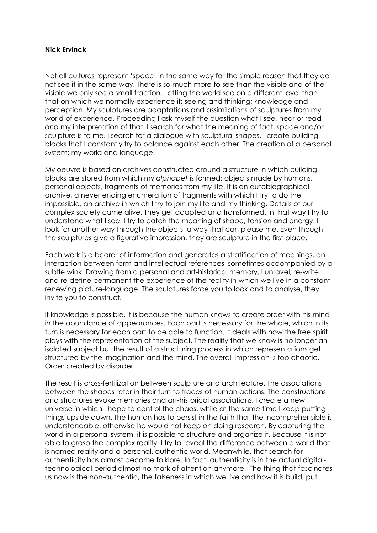## **Nick Ervinck**

Not all cultures represent 'space' in the same way for the simple reason that they do not see it in the same way. There is so much more to see than the visible and of the visible we only *see* a small fraction. Letting the world see on a different level than that on which we normally experience it: seeing and thinking; knowledge and perception. My sculptures are adaptations and assimilations of sculptures from my world of experience. Proceeding I ask myself the question what I see, hear or read *and* my interpretation of that. I search for what the meaning of fact, space and/or sculpture is to me. I search for a dialogue with sculptural shapes. I create building blocks that I constantly try to balance against each other. The creation of a personal system: my world and language.

My oeuvre is based on archives constructed around a structure in which building blocks are stored from which my *alphabet* is formed: objects made by humans, personal objects, fragments of memories from my life. It is an autobiographical archive, a never ending enumeration of fragments with which I try to do the impossible, an archive in which I try to join my life and my thinking. Details of our complex society came alive. They get adapted and transformed. In that way I try to understand what I see. I try to catch the meaning of shape, tension and energy. I look for another way through the objects, a way that can please me. Even though the sculptures give a figurative impression, they are sculpture in the first place.

Each work is a bearer of information and generates a stratification of meanings, an interaction between form and intellectual references, sometimes accompanied by a subtle wink. Drawing from a personal and art-historical memory, I unravel, re-write and re-define permanent the experience of the reality in which we live in a constant renewing picture-language. The sculptures force you to look and to analyse, they invite you to construct.

If knowledge is possible, it is because the human knows to create order with his mind in the abundance of appearances. Each part is necessary for the whole, which in its turn is necessary for each part to be able to function. It deals with how the free spirit plays with the representation of the subject. The reality that we know is no longer an isolated subject but the result of a structuring process in which representations get structured by the imagination and the mind. The overall impression is too chaotic. Order created by disorder.

The result is cross-fertilization between sculpture and architecture. The associations between the shapes refer in their turn to traces of human actions. The constructions and structures evoke memories and art-historical associations. I create a new universe in which I hope to control the chaos, while at the same time I keep putting things upside down. The human has to persist in the faith that the incomprehensible is understandable, otherwise he would not keep on doing research. By capturing the world in a personal system, it is possible to structure and organize it. Because it is not able to grasp the complex reality, I try to reveal the difference between a world that is named reality and a personal, authentic world. Meanwhile, that search for authenticity has almost become folklore. In fact, authenticity is in the actual digitaltechnological period almost no mark of attention anymore. The thing that fascinates us now is the non-authentic, the falseness in which we live and how it is build, put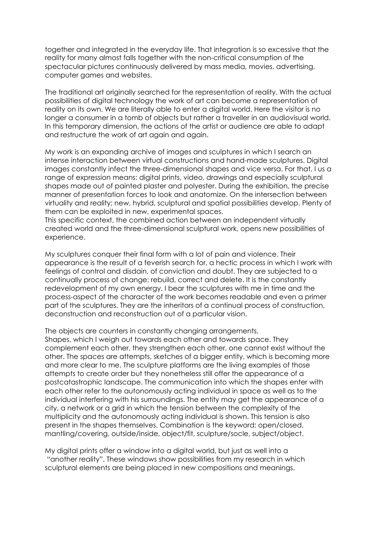together and integrated in the everyday life. That integration is so excessive that the reality for many almost falls together with the non-critical consumption of the spectacular pictures continuously delivered by mass media, movies, advertising, computer games and websites.

The traditional art originally searched for the representation of reality. With the actual possibilities of digital technology the work of art can become a representation of reality on its own. We are literally able to enter a digital world. Here the visitor is no longer a consumer in a tomb of objects but rather a traveller in an audiovisual world. In this temporary dimension, the actions of the artist or audience are able to adapt and restructure the work of art again and again.

My work is an expanding archive of images and sculptures in which I search an intense interaction between virtual constructions and hand-made sculptures. Digital images constantly infect the three-dimensional shapes and vice versa. For that, I us a range of expression means: digital prints, video, drawings and especially sculptural shapes made out of painted plaster and polyester. During the exhibition, the precise manner of presentation forces to look and anatomize. On the intersection between virtuality and reality; new, hybrid, sculptural and spatial possibilities develop. Plenty of them can be exploited in new, experimental spaces.

This specific context, the combined action between an independent virtually created world and the three-dimensional sculptural work, opens new possibilities of experience.

My sculptures conquer their final form with a lot of pain and violence. Their appearance is the result of a feverish search for, a hectic process in which I work with feelings of control and disdain, of conviction and doubt. They are subjected to a continually process of change: rebuild, correct and delete. It is the constantly redevelopment of my own energy. I bear the sculptures with me in time and the process-aspect of the character of the work becomes readable and even a primer part of the sculptures. They are the inheritors of a continual process of construction, deconstruction and reconstruction out of a particular vision.

The objects are counters in constantly changing arrangements. Shapes, which I weigh out towards each other and towards space. They complement each other, they strengthen each other, one cannot exist without the other. The spaces are attempts, sketches of a bigger entity, which is becoming more and more clear to me. The sculpture platforms are the living examples of those attempts to create order but they nonetheless still offer the appearance of a postcatastrophic landscape. The communication into which the shapes enter with each other refer to the autonomously acting individual in space as well as to the individual interfering with his surroundings. The entity may get the appearance of a city, a network or a grid in which the tension between the complexity of the multiplicity and the autonomously acting individual is shown. This tension is also present in the shapes themselves. Combination is the keyword: open/closed, mantling/covering, outside/inside, object/fit, sculpture/socle, subject/object.

My digital prints offer a window into a digital world, but just as well into a "another reality". These windows show possibilities from my research in which sculptural elements are being placed in new compositions and meanings.